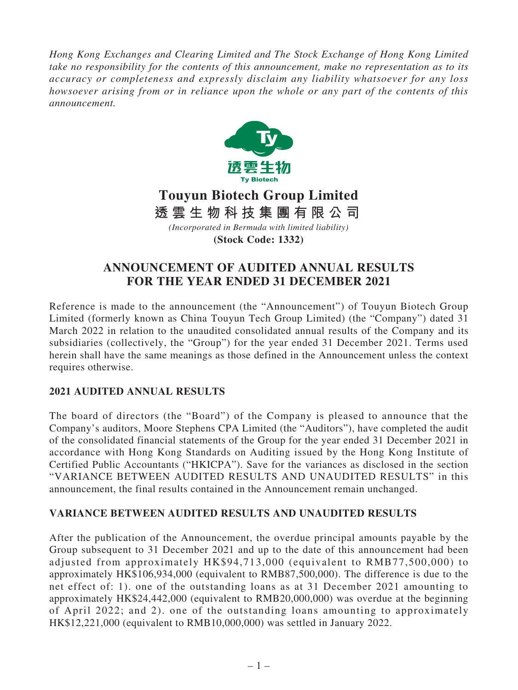*Hong Kong Exchanges and Clearing Limited and The Stock Exchange of Hong Kong Limited take no responsibility for the contents of this announcement, make no representation as to its accuracy or completeness and expressly disclaim any liability whatsoever for any loss howsoever arising from or in reliance upon the whole or any part of the contents of this announcement.*



# **Touyun Biotech Group Limited** *(Incorporated in Bermuda with limited liability)* **透雲生物科技集團有限公司**

**(Stock Code: 1332)**

# **ANNOUNCEMENT OF AUDITED ANNUAL RESULTS FOR THE YEAR ENDED 31 DECEMBER 2021**

Reference is made to the announcement (the "Announcement") of Touyun Biotech Group Limited (formerly known as China Touyun Tech Group Limited) (the "Company") dated 31 March 2022 in relation to the unaudited consolidated annual results of the Company and its subsidiaries (collectively, the "Group") for the year ended 31 December 2021. Terms used herein shall have the same meanings as those defined in the Announcement unless the context requires otherwise.

## **2021 AUDITED ANNUAL RESULTS**

The board of directors (the "Board") of the Company is pleased to announce that the Company's auditors, Moore Stephens CPA Limited (the "Auditors"), have completed the audit of the consolidated financial statements of the Group for the year ended 31 December 2021 in accordance with Hong Kong Standards on Auditing issued by the Hong Kong Institute of Certified Public Accountants ("HKICPA"). Save for the variances as disclosed in the section "VARIANCE BETWEEN AUDITED RESULTS AND UNAUDITED RESULTS" in this announcement, the final results contained in the Announcement remain unchanged.

## **VARIANCE BETWEEN AUDITED RESULTS AND UNAUDITED RESULTS**

After the publication of the Announcement, the overdue principal amounts payable by the Group subsequent to 31 December 2021 and up to the date of this announcement had been adjusted from approximately HK\$94,713,000 (equivalent to RMB77,500,000) to approximately HK\$106,934,000 (equivalent to RMB87,500,000). The difference is due to the net effect of: 1). one of the outstanding loans as at 31 December 2021 amounting to approximately HK\$24,442,000 (equivalent to RMB20,000,000) was overdue at the beginning of April 2022; and 2). one of the outstanding loans amounting to approximately HK\$12,221,000 (equivalent to RMB10,000,000) was settled in January 2022.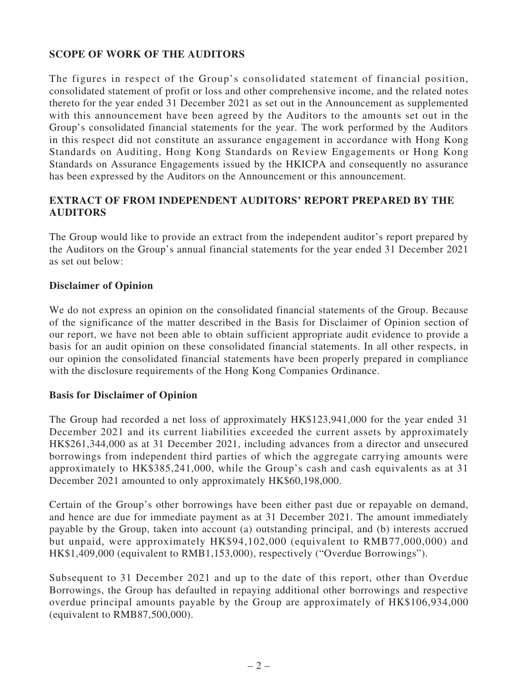#### **SCOPE OF WORK OF THE AUDITORS**

The figures in respect of the Group's consolidated statement of financial position, consolidated statement of profit or loss and other comprehensive income, and the related notes thereto for the year ended 31 December 2021 as set out in the Announcement as supplemented with this announcement have been agreed by the Auditors to the amounts set out in the Group's consolidated financial statements for the year. The work performed by the Auditors in this respect did not constitute an assurance engagement in accordance with Hong Kong Standards on Auditing, Hong Kong Standards on Review Engagements or Hong Kong Standards on Assurance Engagements issued by the HKICPA and consequently no assurance has been expressed by the Auditors on the Announcement or this announcement.

#### **EXTRACT OF FROM INDEPENDENT AUDITORS' REPORT PREPARED BY THE AUDITORS**

The Group would like to provide an extract from the independent auditor's report prepared by the Auditors on the Group's annual financial statements for the year ended 31 December 2021 as set out below:

#### **Disclaimer of Opinion**

We do not express an opinion on the consolidated financial statements of the Group. Because of the significance of the matter described in the Basis for Disclaimer of Opinion section of our report, we have not been able to obtain sufficient appropriate audit evidence to provide a basis for an audit opinion on these consolidated financial statements. In all other respects, in our opinion the consolidated financial statements have been properly prepared in compliance with the disclosure requirements of the Hong Kong Companies Ordinance.

#### **Basis for Disclaimer of Opinion**

The Group had recorded a net loss of approximately HK\$123,941,000 for the year ended 31 December 2021 and its current liabilities exceeded the current assets by approximately HK\$261,344,000 as at 31 December 2021, including advances from a director and unsecured borrowings from independent third parties of which the aggregate carrying amounts were approximately to HK\$385,241,000, while the Group's cash and cash equivalents as at 31 December 2021 amounted to only approximately HK\$60,198,000.

Certain of the Group's other borrowings have been either past due or repayable on demand, and hence are due for immediate payment as at 31 December 2021. The amount immediately payable by the Group, taken into account (a) outstanding principal, and (b) interests accrued but unpaid, were approximately HK\$94,102,000 (equivalent to RMB77,000,000) and HK\$1,409,000 (equivalent to RMB1,153,000), respectively ("Overdue Borrowings").

Subsequent to 31 December 2021 and up to the date of this report, other than Overdue Borrowings, the Group has defaulted in repaying additional other borrowings and respective overdue principal amounts payable by the Group are approximately of HK\$106,934,000 (equivalent to RMB87,500,000).